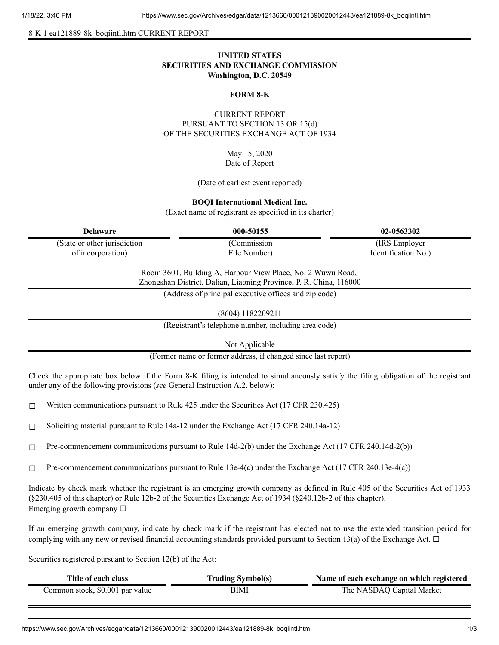8-K 1 ea121889-8k\_boqiintl.htm CURRENT REPORT

# **UNITED STATES SECURITIES AND EXCHANGE COMMISSION Washington, D.C. 20549**

### **FORM 8-K**

## CURRENT REPORT PURSUANT TO SECTION 13 OR 15(d) OF THE SECURITIES EXCHANGE ACT OF 1934

May 15, 2020 Date of Report

(Date of earliest event reported)

#### **BOQI International Medical Inc.**

(Exact name of registrant as specified in its charter)

(State or other jurisdiction of incorporation)

(Commission File Number)

**Delaware 000-50155 02-0563302** (IRS Employer Identification No.)

> Room 3601, Building A, Harbour View Place, No. 2 Wuwu Road, Zhongshan District, Dalian, Liaoning Province, P. R. China, 116000

> > (Address of principal executive offices and zip code)

(8604) 1182209211

(Registrant's telephone number, including area code)

Not Applicable

(Former name or former address, if changed since last report)

Check the appropriate box below if the Form 8-K filing is intended to simultaneously satisfy the filing obligation of the registrant under any of the following provisions (*see* General Instruction A.2. below):

 $\Box$  Written communications pursuant to Rule 425 under the Securities Act (17 CFR 230.425)

☐ Soliciting material pursuant to Rule 14a-12 under the Exchange Act (17 CFR 240.14a-12)

 $\Box$  Pre-commencement communications pursuant to Rule 14d-2(b) under the Exchange Act (17 CFR 240.14d-2(b))

 $\Box$  Pre-commencement communications pursuant to Rule 13e-4(c) under the Exchange Act (17 CFR 240.13e-4(c))

Indicate by check mark whether the registrant is an emerging growth company as defined in Rule 405 of the Securities Act of 1933 (§230.405 of this chapter) or Rule 12b-2 of the Securities Exchange Act of 1934 (§240.12b-2 of this chapter). Emerging growth company  $\Box$ 

If an emerging growth company, indicate by check mark if the registrant has elected not to use the extended transition period for complying with any new or revised financial accounting standards provided pursuant to Section 13(a) of the Exchange Act.  $\Box$ 

Securities registered pursuant to Section 12(b) of the Act:

| Title of each class             | <b>Trading Symbol(s)</b> | Name of each exchange on which registered |
|---------------------------------|--------------------------|-------------------------------------------|
| Common stock, \$0.001 par value | BIMI                     | The NASDAQ Capital Market                 |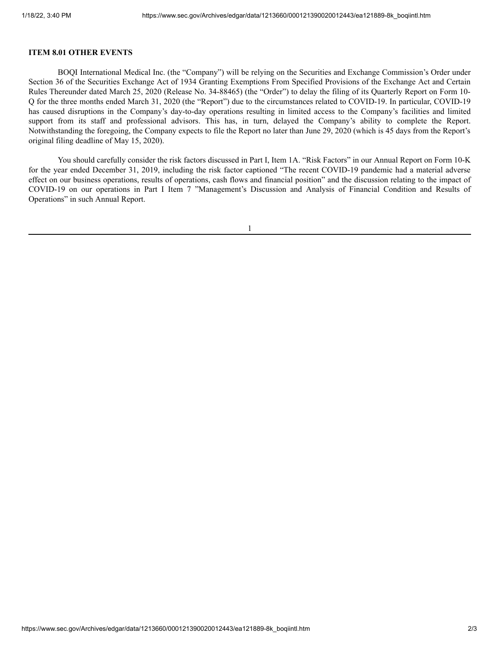### **ITEM 8.01 OTHER EVENTS**

BOQI International Medical Inc. (the "Company") will be relying on the Securities and Exchange Commission's Order under Section 36 of the Securities Exchange Act of 1934 Granting Exemptions From Specified Provisions of the Exchange Act and Certain Rules Thereunder dated March 25, 2020 (Release No. 34-88465) (the "Order") to delay the filing of its Quarterly Report on Form 10- Q for the three months ended March 31, 2020 (the "Report") due to the circumstances related to COVID-19. In particular, COVID-19 has caused disruptions in the Company's day-to-day operations resulting in limited access to the Company's facilities and limited support from its staff and professional advisors. This has, in turn, delayed the Company's ability to complete the Report. Notwithstanding the foregoing, the Company expects to file the Report no later than June 29, 2020 (which is 45 days from the Report's original filing deadline of May 15, 2020).

You should carefully consider the risk factors discussed in Part I, Item 1A. "Risk Factors" in our Annual Report on Form 10-K for the year ended December 31, 2019, including the risk factor captioned "The recent COVID-19 pandemic had a material adverse effect on our business operations, results of operations, cash flows and financial position" and the discussion relating to the impact of COVID-19 on our operations in Part I Item 7 "Management's Discussion and Analysis of Financial Condition and Results of Operations" in such Annual Report.

1